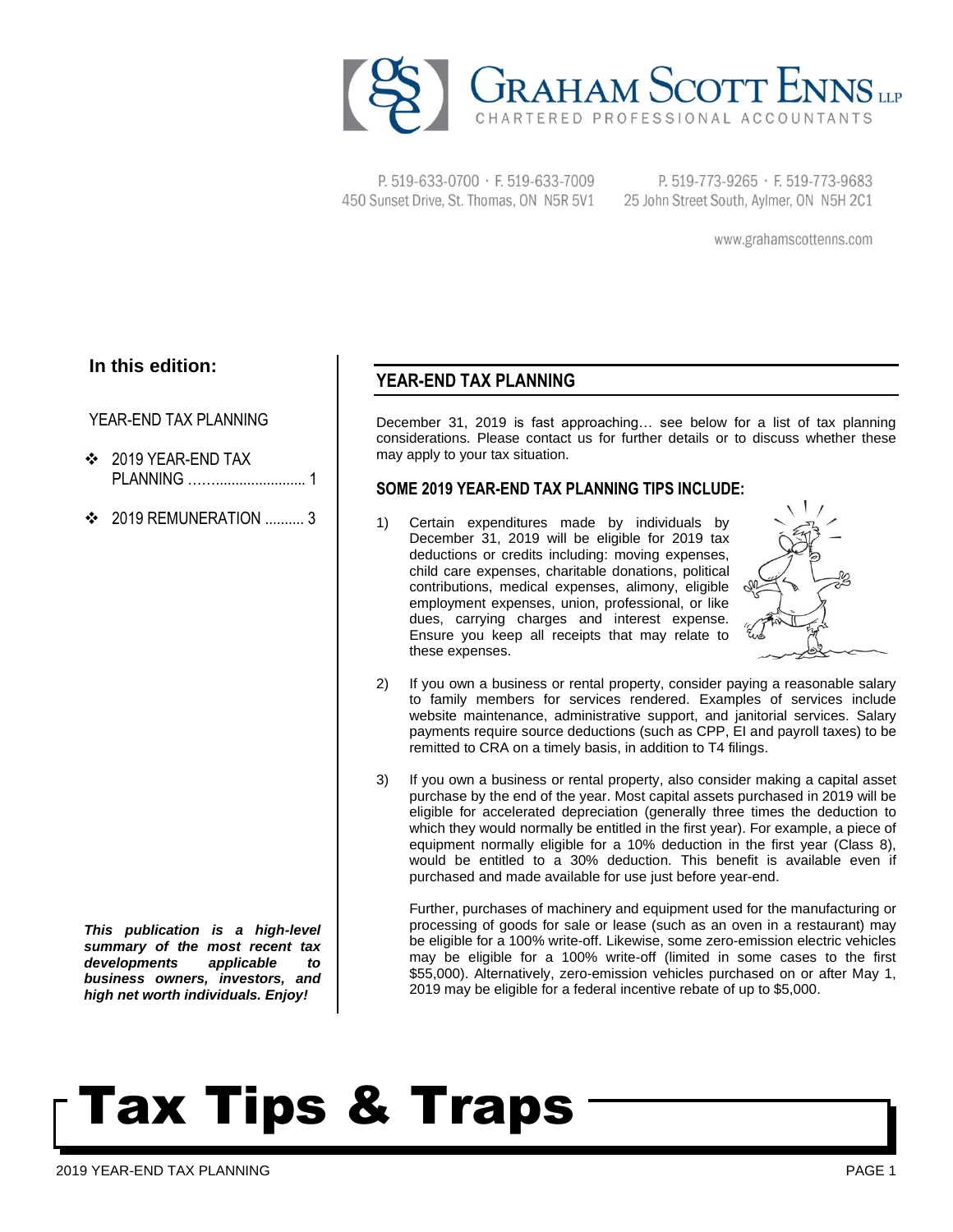

P. 519-633-0700 · F. 519-633-7009 450 Sunset Drive, St. Thomas, ON N5R 5V1

P. 519-773-9265 · F. 519-773-9683 25 John Street South, Aylmer, ON N5H 2C1

www.grahamscottenns.com

## **In this edition:**

### YEAR-END TAX PLANNING

- ❖ 2019 YEAR-END TAX PLANNING ……....................... 1
- $\div$  2019 REMUNERATION 3

*This publication is a high-level summary of the most recent tax developments applicable to business owners, investors, and high net worth individuals. Enjoy!*

## **YEAR-END TAX PLANNING**

December 31, 2019 is fast approaching… see below for a list of tax planning considerations. Please contact us for further details or to discuss whether these may apply to your tax situation.

### **SOME 2019 YEAR-END TAX PLANNING TIPS INCLUDE:**

1) Certain expenditures made by individuals by December 31, 2019 will be eligible for 2019 tax deductions or credits including: moving expenses, child care expenses, charitable donations, political contributions, medical expenses, alimony, eligible employment expenses, union, professional, or like dues, carrying charges and interest expense. Ensure you keep all receipts that may relate to these expenses.



- 2) If you own a business or rental property, consider paying a reasonable salary to family members for services rendered. Examples of services include website maintenance, administrative support, and janitorial services. Salary payments require source deductions (such as CPP, EI and payroll taxes) to be remitted to CRA on a timely basis, in addition to T4 filings.
- 3) If you own a business or rental property, also consider making a capital asset purchase by the end of the year. Most capital assets purchased in 2019 will be eligible for accelerated depreciation (generally three times the deduction to which they would normally be entitled in the first year). For example, a piece of equipment normally eligible for a 10% deduction in the first year (Class 8), would be entitled to a 30% deduction. This benefit is available even if purchased and made available for use just before year-end.

Further, purchases of machinery and equipment used for the manufacturing or processing of goods for sale or lease (such as an oven in a restaurant) may be eligible for a 100% write-off. Likewise, some zero-emission electric vehicles may be eligible for a 100% write-off (limited in some cases to the first \$55,000). Alternatively, zero-emission vehicles purchased on or after May 1, 2019 may be eligible for a federal incentive rebate of up to \$5,000.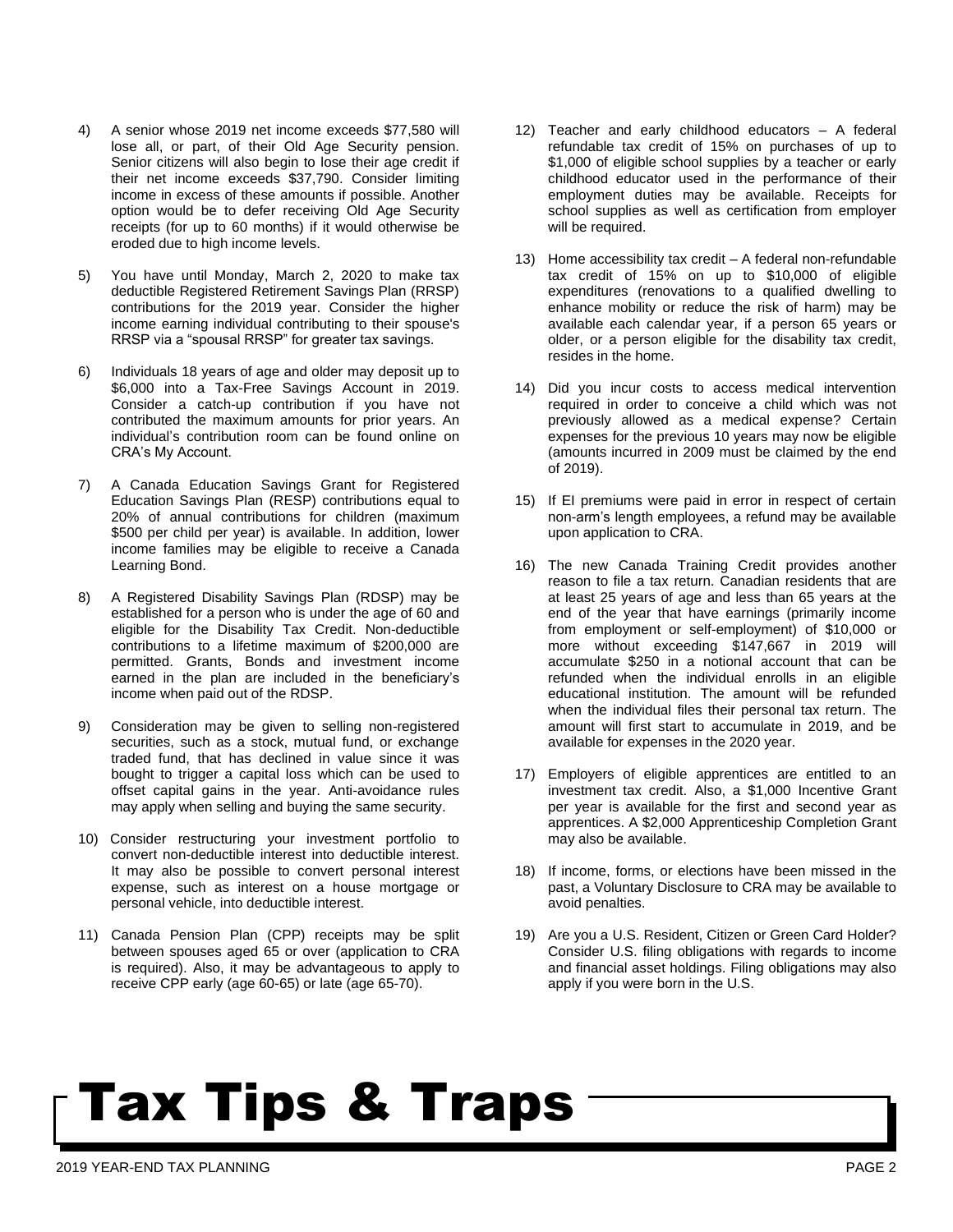- 4) A senior whose 2019 net income exceeds \$77,580 will lose all, or part, of their Old Age Security pension. Senior citizens will also begin to lose their age credit if their net income exceeds \$37,790. Consider limiting income in excess of these amounts if possible. Another option would be to defer receiving Old Age Security receipts (for up to 60 months) if it would otherwise be eroded due to high income levels.
- 5) You have until Monday, March 2, 2020 to make tax deductible Registered Retirement Savings Plan (RRSP) contributions for the 2019 year. Consider the higher income earning individual contributing to their spouse's RRSP via a "spousal RRSP" for greater tax savings.
- 6) Individuals 18 years of age and older may deposit up to \$6,000 into a Tax-Free Savings Account in 2019. Consider a catch-up contribution if you have not contributed the maximum amounts for prior years. An individual's contribution room can be found online on CRA's My Account.
- 7) A Canada Education Savings Grant for Registered Education Savings Plan (RESP) contributions equal to 20% of annual contributions for children (maximum \$500 per child per year) is available. In addition, lower income families may be eligible to receive a Canada Learning Bond.
- 8) A Registered Disability Savings Plan (RDSP) may be established for a person who is under the age of 60 and eligible for the Disability Tax Credit. Non-deductible contributions to a lifetime maximum of \$200,000 are permitted. Grants, Bonds and investment income earned in the plan are included in the beneficiary's income when paid out of the RDSP.
- 9) Consideration may be given to selling non-registered securities, such as a stock, mutual fund, or exchange traded fund, that has declined in value since it was bought to trigger a capital loss which can be used to offset capital gains in the year. Anti-avoidance rules may apply when selling and buying the same security.
- 10) Consider restructuring your investment portfolio to convert non-deductible interest into deductible interest. It may also be possible to convert personal interest expense, such as interest on a house mortgage or personal vehicle, into deductible interest.
- 11) Canada Pension Plan (CPP) receipts may be split between spouses aged 65 or over (application to CRA is required). Also, it may be advantageous to apply to receive CPP early (age 60-65) or late (age 65-70).
- 12) Teacher and early childhood educators A federal refundable tax credit of 15% on purchases of up to \$1,000 of eligible school supplies by a teacher or early childhood educator used in the performance of their employment duties may be available. Receipts for school supplies as well as certification from employer will be required.
- 13) Home accessibility tax credit A federal non-refundable tax credit of 15% on up to \$10,000 of eligible expenditures (renovations to a qualified dwelling to enhance mobility or reduce the risk of harm) may be available each calendar year, if a person 65 years or older, or a person eligible for the disability tax credit, resides in the home.
- 14) Did you incur costs to access medical intervention required in order to conceive a child which was not previously allowed as a medical expense? Certain expenses for the previous 10 years may now be eligible (amounts incurred in 2009 must be claimed by the end of 2019).
- 15) If EI premiums were paid in error in respect of certain non-arm's length employees, a refund may be available upon application to CRA.
- 16) The new Canada Training Credit provides another reason to file a tax return. Canadian residents that are at least 25 years of age and less than 65 years at the end of the year that have earnings (primarily income from employment or self-employment) of \$10,000 or more without exceeding \$147,667 in 2019 will accumulate \$250 in a notional account that can be refunded when the individual enrolls in an eligible educational institution. The amount will be refunded when the individual files their personal tax return. The amount will first start to accumulate in 2019, and be available for expenses in the 2020 year.
- 17) Employers of eligible apprentices are entitled to an investment tax credit. Also, a \$1,000 Incentive Grant per year is available for the first and second year as apprentices. A \$2,000 Apprenticeship Completion Grant may also be available.
- 18) If income, forms, or elections have been missed in the past, a Voluntary Disclosure to CRA may be available to avoid penalties.
- 19) Are you a U.S. Resident, Citizen or Green Card Holder? Consider U.S. filing obligations with regards to income and financial asset holdings. Filing obligations may also apply if you were born in the U.S.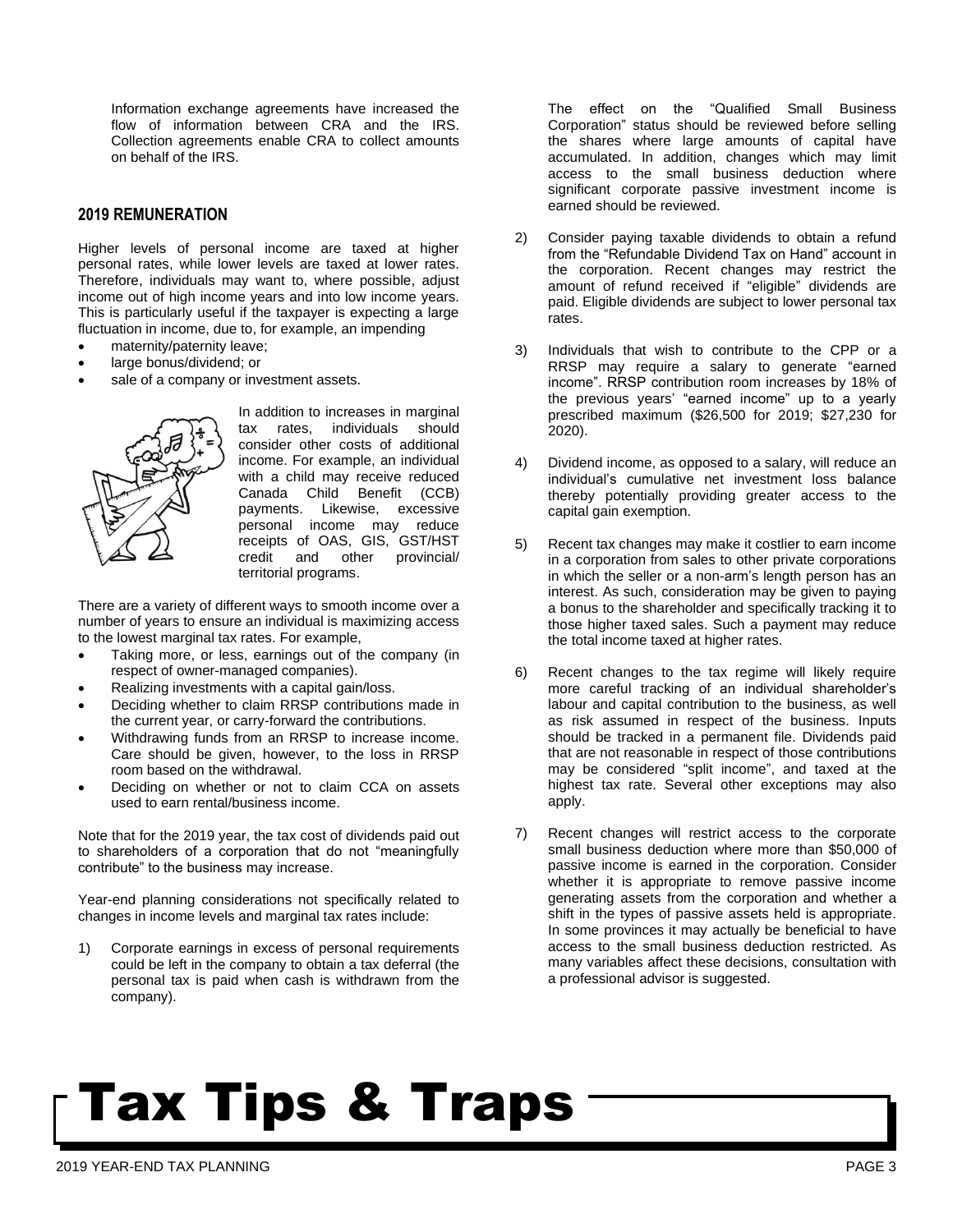Information exchange agreements have increased the flow of information between CRA and the IRS. Collection agreements enable CRA to collect amounts on behalf of the IRS.

### **2019 REMUNERATION**

Higher levels of personal income are taxed at higher personal rates, while lower levels are taxed at lower rates. Therefore, individuals may want to, where possible, adjust income out of high income years and into low income years. This is particularly useful if the taxpayer is expecting a large fluctuation in income, due to, for example, an impending

- maternity/paternity leave;
- large bonus/dividend; or
- sale of a company or investment assets.



In addition to increases in marginal tax rates, individuals should consider other costs of additional income. For example, an individual with a child may receive reduced Canada Child Benefit (CCB) payments. Likewise, excessive personal income may reduce receipts of OAS, GIS, GST/HST credit and other provincial/ territorial programs.

There are a variety of different ways to smooth income over a number of years to ensure an individual is maximizing access to the lowest marginal tax rates. For example,

- Taking more, or less, earnings out of the company (in respect of owner-managed companies).
- Realizing investments with a capital gain/loss.
- Deciding whether to claim RRSP contributions made in the current year, or carry-forward the contributions.
- Withdrawing funds from an RRSP to increase income. Care should be given, however, to the loss in RRSP room based on the withdrawal.
- Deciding on whether or not to claim CCA on assets used to earn rental/business income.

Note that for the 2019 year, the tax cost of dividends paid out to shareholders of a corporation that do not "meaningfully contribute" to the business may increase.

Year-end planning considerations not specifically related to changes in income levels and marginal tax rates include:

1) Corporate earnings in excess of personal requirements could be left in the company to obtain a tax deferral (the personal tax is paid when cash is withdrawn from the company).

The effect on the "Qualified Small Business Corporation" status should be reviewed before selling the shares where large amounts of capital have accumulated. In addition, changes which may limit access to the small business deduction where significant corporate passive investment income is earned should be reviewed.

- 2) Consider paying taxable dividends to obtain a refund from the "Refundable Dividend Tax on Hand" account in the corporation. Recent changes may restrict the amount of refund received if "eligible" dividends are paid. Eligible dividends are subject to lower personal tax rates.
- 3) Individuals that wish to contribute to the CPP or a RRSP may require a salary to generate "earned income". RRSP contribution room increases by 18% of the previous years' "earned income" up to a yearly prescribed maximum (\$26,500 for 2019; \$27,230 for 2020).
- 4) Dividend income, as opposed to a salary, will reduce an individual's cumulative net investment loss balance thereby potentially providing greater access to the capital gain exemption.
- 5) Recent tax changes may make it costlier to earn income in a corporation from sales to other private corporations in which the seller or a non-arm's length person has an interest. As such, consideration may be given to paying a bonus to the shareholder and specifically tracking it to those higher taxed sales. Such a payment may reduce the total income taxed at higher rates.
- 6) Recent changes to the tax regime will likely require more careful tracking of an individual shareholder's labour and capital contribution to the business, as well as risk assumed in respect of the business. Inputs should be tracked in a permanent file. Dividends paid that are not reasonable in respect of those contributions may be considered "split income", and taxed at the highest tax rate. Several other exceptions may also apply.
- 7) Recent changes will restrict access to the corporate small business deduction where more than \$50,000 of passive income is earned in the corporation. Consider whether it is appropriate to remove passive income generating assets from the corporation and whether a shift in the types of passive assets held is appropriate. In some provinces it may actually be beneficial to have access to the small business deduction restricted. As many variables affect these decisions, consultation with a professional advisor is suggested.